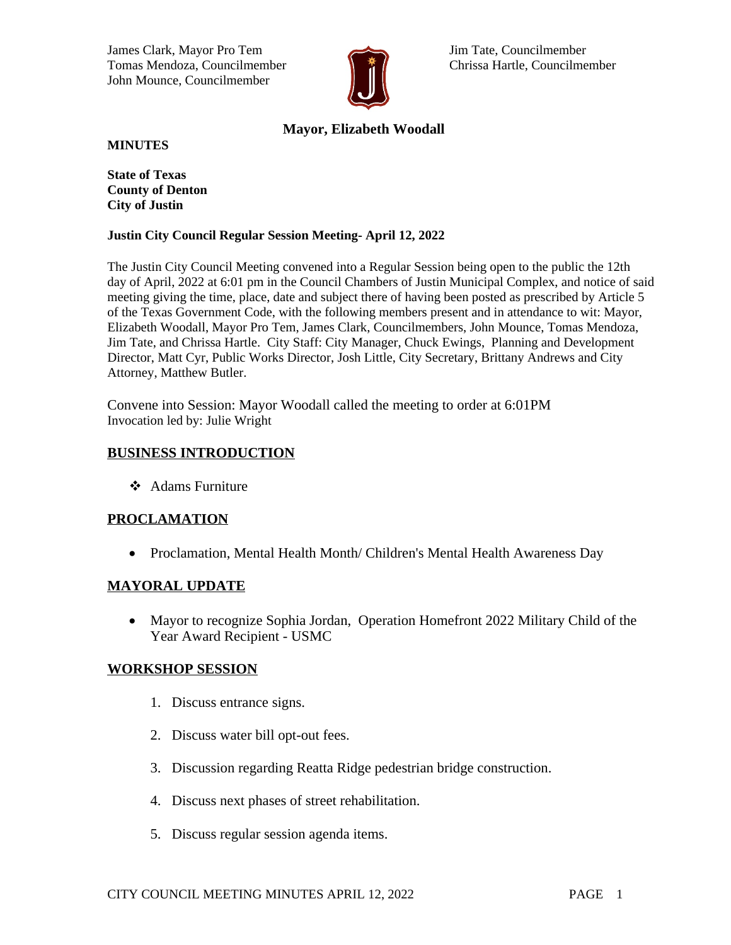James Clark, Mayor Pro Tem Jim Tate, Councilmember Tomas Mendoza, Councilmember **Chrissa Hartle, Councilmember** Chrissa Hartle, Councilmember John Mounce, Councilmember



# **Mayor, Elizabeth Woodall**

**MINUTES**

**State of Texas County of Denton City of Justin**

### **Justin City Council Regular Session Meeting- April 12, 2022**

The Justin City Council Meeting convened into a Regular Session being open to the public the 12th day of April, 2022 at 6:01 pm in the Council Chambers of Justin Municipal Complex, and notice of said meeting giving the time, place, date and subject there of having been posted as prescribed by Article 5 of the Texas Government Code, with the following members present and in attendance to wit: Mayor, Elizabeth Woodall, Mayor Pro Tem, James Clark, Councilmembers, John Mounce, Tomas Mendoza, Jim Tate, and Chrissa Hartle. City Staff: City Manager, Chuck Ewings, Planning and Development Director, Matt Cyr, Public Works Director, Josh Little, City Secretary, Brittany Andrews and City Attorney, Matthew Butler.

Convene into Session: Mayor Woodall called the meeting to order at 6:01PM Invocation led by: Julie Wright

# **BUSINESS INTRODUCTION**

**❖** Adams Furniture

# **PROCLAMATION**

• Proclamation, Mental Health Month/ Children's Mental Health Awareness Day

## **MAYORAL UPDATE**

 Mayor to recognize Sophia Jordan, Operation Homefront 2022 Military Child of the Year Award Recipient - USMC

## **WORKSHOP SESSION**

- 1. Discuss entrance signs.
- 2. Discuss water bill opt-out fees.
- 3. Discussion regarding Reatta Ridge pedestrian bridge construction.
- 4. Discuss next phases of street rehabilitation.
- 5. Discuss regular session agenda items.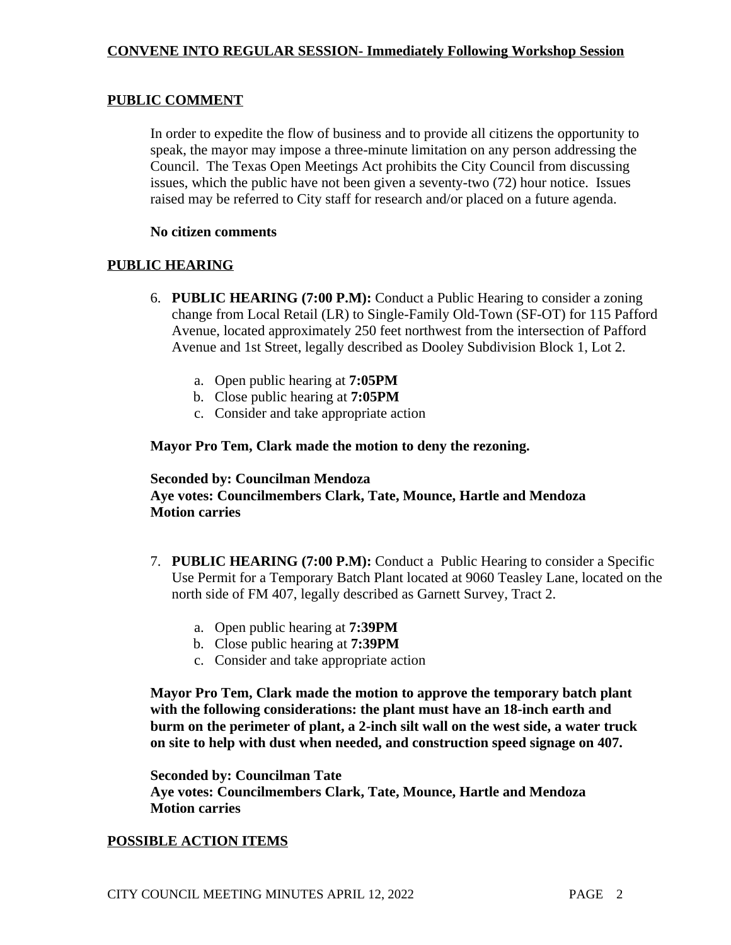# **PUBLIC COMMENT**

In order to expedite the flow of business and to provide all citizens the opportunity to speak, the mayor may impose a three-minute limitation on any person addressing the Council. The Texas Open Meetings Act prohibits the City Council from discussing issues, which the public have not been given a seventy-two (72) hour notice. Issues raised may be referred to City staff for research and/or placed on a future agenda.

## **No citizen comments**

# **PUBLIC HEARING**

- 6. **PUBLIC HEARING (7:00 P.M):** Conduct a Public Hearing to consider a zoning change from Local Retail (LR) to Single-Family Old-Town (SF-OT) for 115 Pafford Avenue, located approximately 250 feet northwest from the intersection of Pafford Avenue and 1st Street, legally described as Dooley Subdivision Block 1, Lot 2.
	- a. Open public hearing at **7:05PM**
	- b. Close public hearing at **7:05PM**
	- c. Consider and take appropriate action

## **Mayor Pro Tem, Clark made the motion to deny the rezoning.**

# **Seconded by: Councilman Mendoza Aye votes: Councilmembers Clark, Tate, Mounce, Hartle and Mendoza Motion carries**

- 7. **PUBLIC HEARING (7:00 P.M):** Conduct a Public Hearing to consider a Specific Use Permit for a Temporary Batch Plant located at 9060 Teasley Lane, located on the north side of FM 407, legally described as Garnett Survey, Tract 2.
	- a. Open public hearing at **7:39PM**
	- b. Close public hearing at **7:39PM**
	- c. Consider and take appropriate action

**Mayor Pro Tem, Clark made the motion to approve the temporary batch plant with the following considerations: the plant must have an 18-inch earth and burm on the perimeter of plant, a 2-inch silt wall on the west side, a water truck on site to help with dust when needed, and construction speed signage on 407.** 

**Seconded by: Councilman Tate Aye votes: Councilmembers Clark, Tate, Mounce, Hartle and Mendoza Motion carries**

## **POSSIBLE ACTION ITEMS**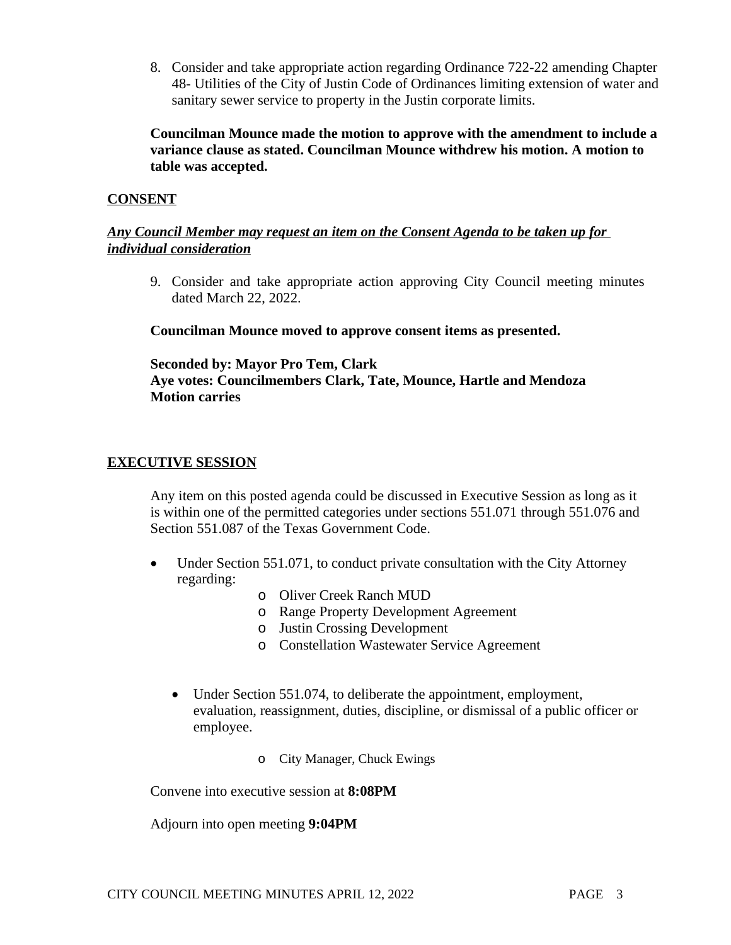8. Consider and take appropriate action regarding Ordinance 722-22 amending Chapter 48- Utilities of the City of Justin Code of Ordinances limiting extension of water and sanitary sewer service to property in the Justin corporate limits.

**Councilman Mounce made the motion to approve with the amendment to include a variance clause as stated. Councilman Mounce withdrew his motion. A motion to table was accepted.** 

# **CONSENT**

# *Any Council Member may request an item on the Consent Agenda to be taken up for individual consideration*

9. Consider and take appropriate action approving City Council meeting minutes dated March 22, 2022.

## **Councilman Mounce moved to approve consent items as presented.**

# **Seconded by: Mayor Pro Tem, Clark Aye votes: Councilmembers Clark, Tate, Mounce, Hartle and Mendoza Motion carries**

## **EXECUTIVE SESSION**

Any item on this posted agenda could be discussed in Executive Session as long as it is within one of the permitted categories under sections 551.071 through 551.076 and Section 551.087 of the Texas Government Code.

- Under Section 551.071, to conduct private consultation with the City Attorney regarding:
	- o Oliver Creek Ranch MUD
	- o Range Property Development Agreement
	- o Justin Crossing Development
	- o Constellation Wastewater Service Agreement
	- Under Section 551.074, to deliberate the appointment, employment, evaluation, reassignment, duties, discipline, or dismissal of a public officer or employee.
		- o City Manager, Chuck Ewings

Convene into executive session at **8:08PM**

Adjourn into open meeting **9:04PM**